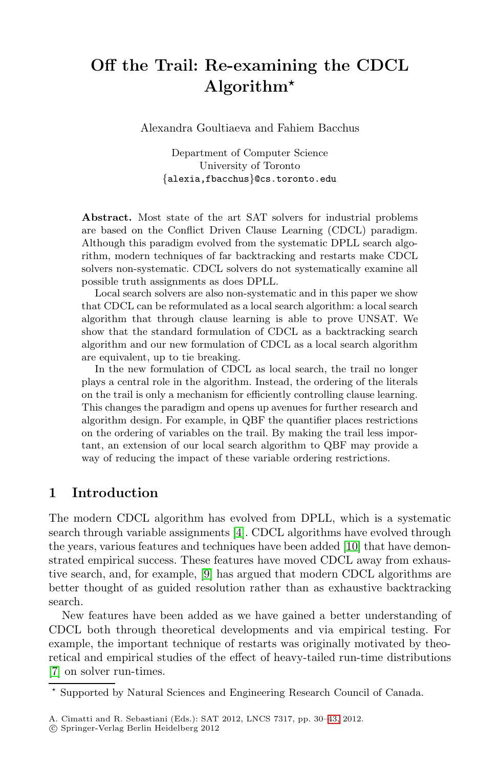# **Off the Trail: Re-examining the CDCL Algorithm***-*

Alexandra Goultiaeva and Fahiem Bacchus

Department of Computer Science University of Toronto {alexia,fbacchus}@cs.toronto.edu

**Abstract.** Most state of the art SAT solvers for industrial problems are based on the Conflict Driven Clause Learning (CDCL) paradigm. Although this paradigm evolved from the systematic DPLL search algorithm, modern techniques of far backtracking and restarts make CDCL solvers non-systematic. CDCL solvers do not systematically examine all possible truth assignments as does DPLL.

Local search solvers are also non-systematic and in this paper we show that CDCL can be reformulated as a local search algorithm: a local search algorithm that through clause learning is able to prove UNSAT. We show that the standard formulation of CDCL as a backtracking search algorithm and our new formulation of CDCL as a local search algorithm are equivalent, up to tie breaking.

In the new formulation of CDCL as local search, the trail no longer plays a central role in the algorithm. Instead, the ordering of the literals on the trail is only a mechanism for efficiently controlling clause learning. This changes the paradigm and opens up avenues for further research and algorithm d[esi](#page-13-0)gn. For example, in QBF the quantifier places restrictions on the ordering of variables on the [trail](#page-13-1). By making the trail less important, an extension of our local search algorithm to QBF may provide a way [of](#page-13-2) reducing the impact of these variable ordering restrictions.

# **1 Introduction**

The modern CDCL algorithm has evolved from DPLL, which is a systematic search through variable assignments [4]. CDCL algorithms have evolved through the years, various features and techniques have been added [10] that have demonstrated empirical success. These features have moved CDCL away from exhaustive search, and, for example, [9] has argued that modern CDCL algorithms are better thought of as guided resolution rather than as exhaustive backtracking search.

New features have been added a[s](#page-13-3) [w](#page-13-3)e have gained a better understanding of CDCL both through theoretical developments and via empirical testing. For example, the important technique of restarts was originally motivated by theoretical and empirical studies of the effect of heavy-tailed run-time distributions [7] on solver run-times.

<sup>-</sup> Supported by Natural Sciences and Engineering Research Council of Canada.

A. Cimatti and R. Sebastiani (Eds.): SAT 2012, LNCS 7317, pp. 30–43, 2012.

<sup>-</sup>c Springer-Verlag Berlin Heidelberg 2012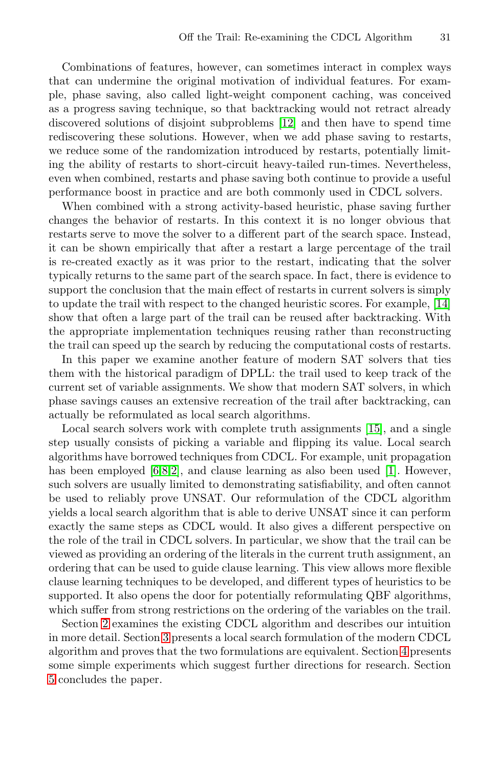Combinations of features, however, can sometimes interact in complex ways that can undermine the original motivation of individual features. For example, phase saving, also called light-weight component caching, was conceived as a progress saving technique, so that backtracking would not retract already discovered solutions of disjoint subproblems [12] and then have to spend time rediscovering these solutions. However, when we add phase saving to restarts, we reduce some of the randomization introduced by restarts, potentially limiting the ability of restarts to short-circuit heavy-tailed run-times. Nevertheless, even when combined, restarts and phase saving both continue to provide a useful performance boost in practice and are both commonly u[sed](#page-13-4) in CDCL solvers.

When combined with a strong activity-based heuristic, phase saving further changes the behavior of restarts. In this context it is no longer obvious that restarts serve to move the solver to a different part of the search space. Instead, it can be shown empirically that after a restart a large percentage of the trail is re-created exactly as it was prior to the restart, indicating that the solver typically returns to the same part of the search space. In fact, there is evidence to support the conclusion that the main effect of restarts in current solvers is simply to update the trail with respect to the changed heuristic scores. For example, [14] show that often a large part of the trail can [be](#page-13-5) reused after backtracking. With the appropriate implementation techniques reusing rather than reconstructing the trail can speed up the search by reducing the computational costs of restarts.

[I](#page-13-6)[n](#page-13-7) [th](#page-13-8)is paper we examine another feature o[f m](#page-13-9)odern SAT solvers that ties them with the historical paradigm of DPLL: the trail used to keep track of the current set of variable assignments. We show that modern SAT solvers, in which phase savings causes an extensive recreation of the trail after backtracking, can actually be reformulated as local search algorithms.

Local search solvers work with complete truth assignments [15], and a single step usually consists of picking a variable and flipping its value. Local search algorithms have borrowed techniques from CDCL. For example, unit propagation has been employed [6,8,2], and clause learning as also been used [1]. However, such solvers are usually limited to demonstrating satisfiability, and often cannot be used to reliably prove UNSAT. Our reformulation of the CDCL algorithm yields a local search algorithm that is able to derive UNSAT since it can perform ex[act](#page-4-0)ly the same steps as CDCL would. It also gives a different perspective on the role of the trail in CDCL solvers. In particular, [w](#page-11-0)e show that the trail can be viewed as providing an ordering of the literals in the current truth assignment, an ordering that can be used to guide clause learning. This view allows more flexible clause learning techniques to be developed, and different types of heuristics to be supported. It also opens the door for potentially reformulating QBF algorithms, which suffer from strong restrictions on the ordering of the variables on the trail.

Section 2 examines the existing CDCL algorithm and describes our intuition in more detail. Section 3 presents a local search formulation of the modern CDCL algorithm and proves that the two formulations are equivalent. Section 4 presents some simple experiments which suggest further directions for research. Section 5 concludes the paper.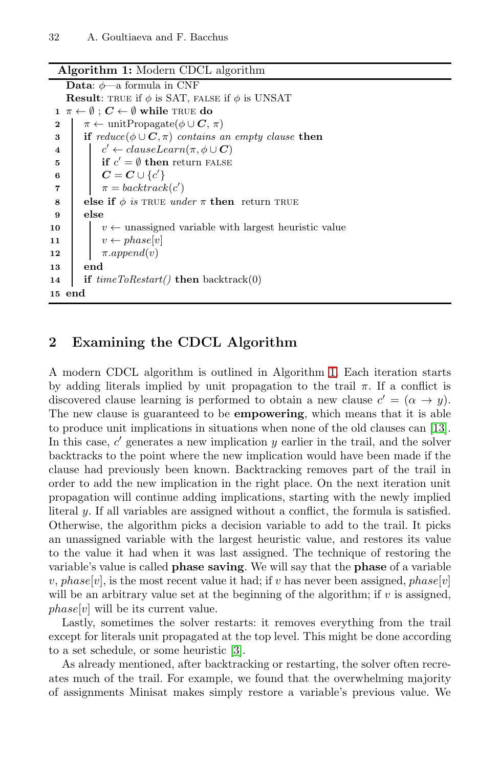## <span id="page-2-0"></span>**Algorithm 1:** Modern CDCL algorithm

**Data**: φ—a formula in CNF **Result**: TRUE if  $\phi$  is SAT, false if  $\phi$  is UNSAT  $\pi \leftarrow \emptyset$  ;  $C \leftarrow \emptyset$  while TRUE **do**   $\pi \leftarrow \text{unitPropagate}(\phi \cup \mathbf{C}, \pi)$  **if**  $reduce(\phi \cup C, \pi)$  *contains an empty clause* **then**   $c' \leftarrow clauseLearn(\pi, \phi \cup C)$  **if**  $c' = \emptyset$  **then** return FALSE  $C = C \cup \{c'\}$   $\pi = \text{backtrack}(c')$  **else if**  $\phi$  *is* TRUE *under*  $\pi$  **then** return TRUE **9 else**  $v \leftarrow$  unassigned variable with largest heuristic value  $v \leftarrow phase[v]$   $\pi.append(v)$ **13 end if** *timeToRestart()* **then** backtrack(0) **15 end**

# **2 Examining the CDCL Algorithm**

A modern CDCL algorithm is outlined in Algorithm 1. Each iteration starts by adding literals implied by unit propagation to the trail  $\pi$ . If a conflict is discovered clause learning is performed to obtain a new clause  $c' = (\alpha \rightarrow \gamma)$ . The new clause is guaranteed to be **empowering**, which means that it is able to produce unit implications in situations when none of the old clauses can [13]. In this case,  $c'$  generates a new implication  $y$  earlier in the trail, and the solver backtracks to the point where the new implication would have been made if the clause had previously been known. Backtracking removes part of the trail in order to add the new implication in the right place. On the next iteration unit propagation will continue adding implications, starting with the newly implied literal y. If all variables are assigned without a conflict, the formula is satisfied. Otherwise, the algorithm picks a decision variable to add to the trail. It picks an unassigned v[ari](#page-13-10)able with the largest heuristic value, and restores its value to the value it had when it was last assigned. The technique of restoring the variable's value is called **phase saving**. We will say that the **phase** of a variable v, phase[v], is the most recent value it had; if v has never been assigned, phase[v] will be an arbitrary value set at the beginning of the algorithm; if  $v$  is assigned,  $phase[v]$  will be its current value.

Lastly, sometimes the solver restarts: it removes everything from the trail except for literals unit propagated at the top level. This might be done according to a set schedule, or some heuristic [3].

As already mentioned, after backtracking or restarting, the solver often recreates much of the trail. For example, we found that the overwhelming majority of assignments Minisat makes simply restore a variable's previous value. We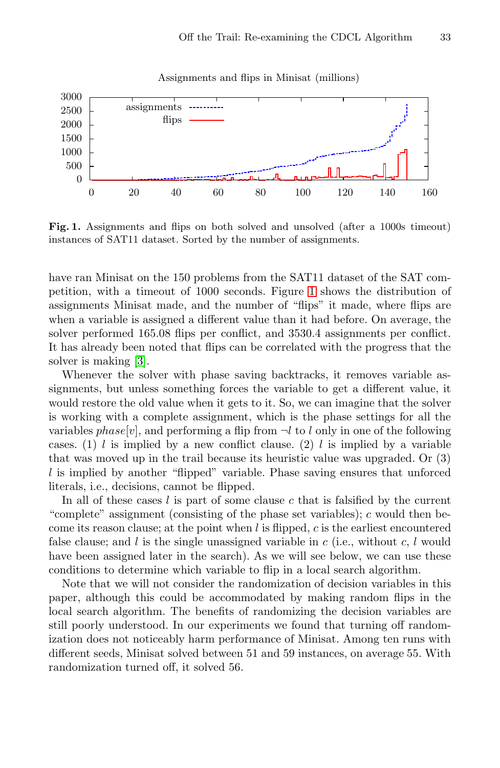<span id="page-3-0"></span>Assignments and flips in Minisat (millions)



**Fig. 1.** Assignments and flips on both solved and unsolved (after a 1000s timeout) instances of SAT11 dataset. Sorted by the number of assignments.

have ran Minisat on the 150 problems from the SAT11 dataset of the SAT competition, with a timeout of 1000 seconds. Figure 1 shows the distribution of assignments Minisat made, and the number of "flips" it made, where flips are when a variable is assigned a different value than it had before. On average, the solver performed 165.08 flips per conflict, and 3530.4 assignments per conflict. It has already been noted that flips can be correlated with the progress that the solver is making [3].

Whenever the solver with phase saving backtracks, it removes variable assignments, but unless something forces the variable to get a different value, it would restore the old value when it gets to it. So, we can imagine that the solver is working with a complete assignment, which is the phase settings for all the variables phase[v], and performing a flip from  $\neg l$  to l only in one of the following cases. (1) l is implied by a new conflict clause. (2) l is implied by a variable that was moved up in the trail because its heuristic value was upgraded. Or (3) l is implied by another "flipped" variable. Phase saving ensures that unforced literals, i.e., decisions, cannot be flipped.

In all of these cases  $l$  is part of some clause  $c$  that is falsified by the current "complete" assignment (consisting of the phase set variables);  $c$  would then become its reason clause; at the point when  $l$  is flipped,  $c$  is the earliest encountered false clause; and l is the single unassigned variable in c (i.e., without  $c, l$  would have been assigned later in the search). As we will see below, we can use these conditions to determine which variable to flip in a local search algorithm.

Note that we will not consider the randomization of decision variables in this paper, although this could be accommodated by making random flips in the local search algorithm. The benefits of randomizing the decision variables are still poorly understood. In our experiments we found that turning off randomization does not noticeably harm performance of Minisat. Among ten runs with different seeds, Minisat solved between 51 and 59 instances, on average 55. With randomization turned off, it solved 56.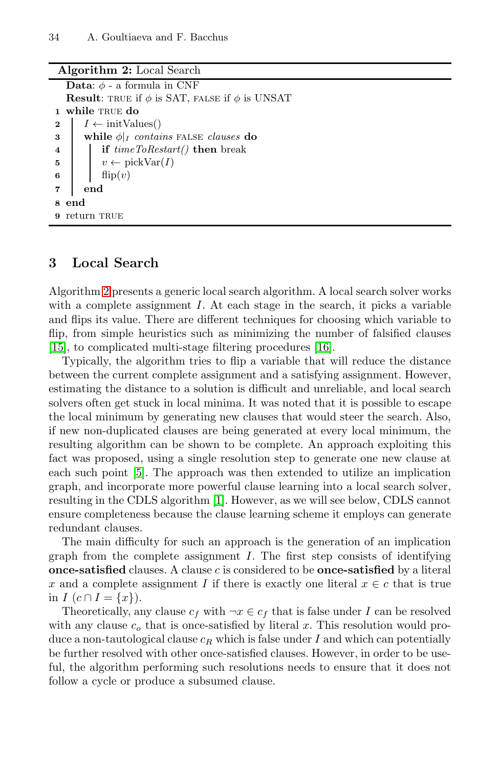## <span id="page-4-1"></span><span id="page-4-0"></span>**Algorithm 2:** Local Search

|                         | <b>Data:</b> $\phi$ - a formula in CNF                         |  |  |  |  |  |  |  |  |
|-------------------------|----------------------------------------------------------------|--|--|--|--|--|--|--|--|
|                         | <b>Result:</b> TRUE if $\phi$ is SAT, FALSE if $\phi$ is UNSAT |  |  |  |  |  |  |  |  |
|                         | 1 while TRUE do                                                |  |  |  |  |  |  |  |  |
| $\bf{2}$                | $I \leftarrow \text{initValues}()$                             |  |  |  |  |  |  |  |  |
| $\overline{\mathbf{3}}$ | while $\phi _I$ contains FALSE clauses do                      |  |  |  |  |  |  |  |  |
| $\overline{\mathbf{4}}$ | if $timeToRestart()$ then break                                |  |  |  |  |  |  |  |  |
| $\overline{5}$          | $v \leftarrow \text{pickVar}(I)$                               |  |  |  |  |  |  |  |  |
| $\bf{6}$                | $\text{flip}(v)$                                               |  |  |  |  |  |  |  |  |
|                         | end                                                            |  |  |  |  |  |  |  |  |
| 8                       | end                                                            |  |  |  |  |  |  |  |  |
|                         | return TRUE                                                    |  |  |  |  |  |  |  |  |

# **3 Local Search**

Algorithm 2 presents a generic local search algorithm. A local search solver works with a complete assignment I. At each stage in the search, it picks a variable and flips its value. There are different techniques for choosing which variable to flip, from simple heuristics such as minimizing the number of falsified clauses [15], to complicated multi-stage filtering procedures [16].

Typically, the algorithm tries to flip a variable that will reduce the distance between the current complete assignment and a satisfying assignment. However, estimating th[e d](#page-13-9)istance to a solution is difficult and unreliable, and local search solvers often get stuck in local minima. It was noted that it is possible to escape the local minimum by generating new clauses that would steer the search. Also, if new non-duplicated clauses are being generated at every local minimum, the resulting algorithm can be shown to be complete. An approach exploiting this fact was proposed, using a single resolution step to generate one new clause at each such point [5]. The approach was then extended to utilize an implication graph, and incorporate more powerful clause learning into a local search solver, resulting in the CDLS algorithm [1]. However, as we will see below, CDLS cannot ensure completeness because the clause learning scheme it employs can generate redundant clauses.

The main difficulty for such an approach is the generation of an implication graph from the complete assignment  $I$ . The first step consists of identifying **once-satisfied** clauses. A clause c is considered to be **once-satisfied** by a literal x and a complete assignment I if there is exactly one literal  $x \in c$  that is true in  $I(c \cap I = \{x\}).$ 

Theoretically, any clause  $c_f$  with  $\neg x \in c_f$  that is false under I can be resolved with any clause  $c<sub>o</sub>$  that is once-satisfied by literal x. This resolution would produce a non-tautological clause  $c_R$  which is false under I and which can potentially be further resolved with other once-satisfied clauses. However, in order to be useful, the algorithm performing such resolutions needs to ensure that it does not follow a cycle or produce a subsumed clause.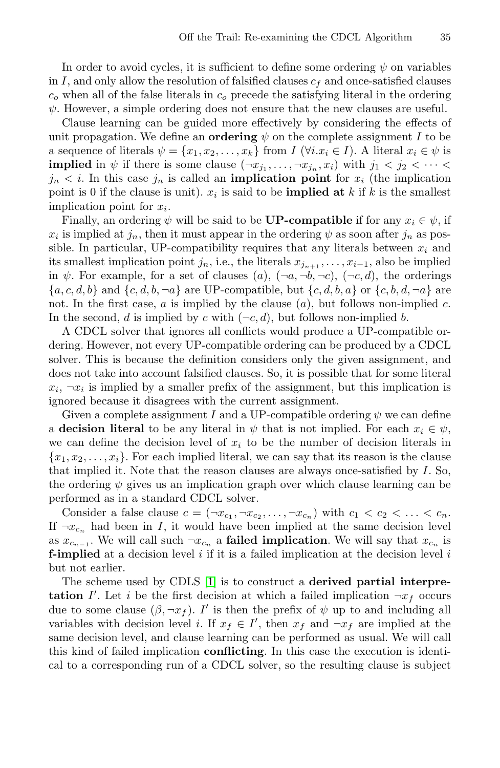In order to avoid cycles, it is sufficient to define some ordering  $\psi$  on variables in I, and only allow the resolution of falsified clauses  $c_f$  and once-satisfied clauses  $c<sub>o</sub>$  when all of the false literals in  $c<sub>o</sub>$  precede the satisfying literal in the ordering  $\psi$ . However, a simple ordering does not ensure that the new clauses are useful.

Clause learning can be guided more effectively by considering the effects of unit propagation. We define an **ordering**  $\psi$  on the complete assignment I to be a sequence of literals  $\psi = \{x_1, x_2, \ldots, x_k\}$  from I ( $\forall i.x_i \in I$ ). A literal  $x_i \in \psi$  is **implied** in  $\psi$  if there is some clause  $(\neg x_{j_1}, \ldots, \neg x_{j_n}, x_i)$  with  $j_1 < j_2 < \cdots < j_n$  $j_n < i$ . In this case  $j_n$  is called an **implication point** for  $x_i$  (the implication point is 0 if the clause is unit).  $x_i$  is said to be **implied at** k if k is the smallest implication point for x*i*.

Finally, an ordering  $\psi$  will be said to be **UP-compatible** if for any  $x_i \in \psi$ , if  $x_i$  is implied at  $j_n$ , then it must appear in the ordering  $\psi$  as soon after  $j_n$  as possible. In particular, UP-compatibility requires that any literals between  $x_i$  and its smallest implication point  $j_n$ , i.e., the literals  $x_{j_{n+1}}, \ldots, x_{i-1}$ , also be implied in  $\psi$ . For example, for a set of clauses (a),  $(\neg a, \neg b, \neg c)$ ,  $(\neg c, d)$ , the orderings  ${a, c, d, b}$  and  ${c, d, b, \neg a}$  are UP-compatible, but  ${c, d, b, a}$  or  ${c, b, d, \neg a}$  are not. In the first case,  $a$  is implied by the clause  $(a)$ , but follows non-implied  $c$ . In the second, d is implied by c with  $(\neg c, d)$ , but follows non-implied b.

A CDCL solver that ignores all conflicts would produce a UP-compatible ordering. However, not every UP-compatible ordering can be produced by a CDCL solver. This is because the definition considers only the given assignment, and does not take into account falsified clauses. So, it is possible that for some literal  $x_i$ ,  $\neg x_i$  is implied by a smaller prefix of the assignment, but this implication is ignored because it disagrees with the current assignment.

Given a complete assignment I and a UP-compatible ordering  $\psi$  we can define a **decision literal** to be any literal in  $\psi$  that is not implied. For each  $x_i \in \psi$ , we can define the decision level of  $x_i$  to be the number of decision literals in  ${x_1, x_2, \ldots, x_i}$ . For each implied literal, we can say that its reason is the clause that implied [it](#page-13-9). Note that the reason clauses are always once-satisfied by  $I$ . So, the ordering  $\psi$  gives us an implication graph over which clause learning can be performed as in a standard CDCL solver.

Consider a false clause  $c = (\neg x_{c_1}, \neg x_{c_2}, \dots, \neg x_{c_n})$  with  $c_1 < c_2 < \dots < c_n$ . If  $\neg x_{c_n}$  had been in I, it would have been implied at the same decision level as  $x_{c_{n-1}}$ . We will call such  $\neg x_{c_n}$  a **failed implication**. We will say that  $x_{c_n}$  is **f-implied** at a decision level  $i$  if it is a failed implication at the decision level  $i$ but not earlier.

The scheme used by CDLS [1] is to construct a **derived partial interpretation** I'. Let i be the first decision at which a failed implication  $\neg x_f$  occurs due to some clause  $(\beta, \neg x_f)$ . I' is then the prefix of  $\psi$  up to and including all variables with decision level *i*. If  $x_f \in I'$ , then  $x_f$  and  $\neg x_f$  are implied at the same decision level, and clause learning can be performed as usual. We will call this kind of failed implication **conflicting**. In this case the execution is identical to a corresponding run of a CDCL solver, so the resulting clause is subject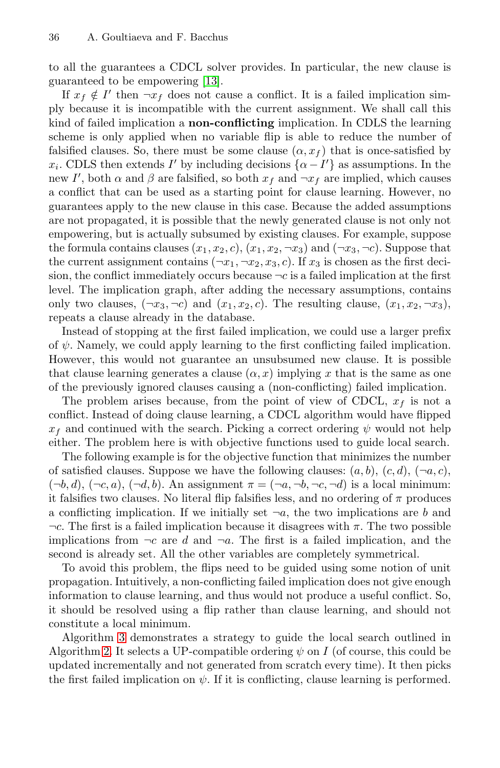#### 36 A. Goultiaeva and F. Bacchus

to all the guarantees a CDCL solver provides. In particular, the new clause is guaranteed to be empowering [13].

If  $x_f \notin I'$  then  $\neg x_f$  does not cause a conflict. It is a failed implication simply because it is incompatible with the current assignment. We shall call this kind of failed implication a **non-conflicting** implication. In CDLS the learning scheme is only applied when no variable flip is able to reduce the number of falsified clauses. So, there must be some clause  $(\alpha, x_f)$  that is once-satisfied by  $x_i$ . CDLS then extends I' by including decisions  $\{\alpha - I'\}$  as assumptions. In the new I', both  $\alpha$  and  $\beta$  are falsified, so both  $x_f$  and  $\neg x_f$  are implied, which causes a conflict that can be used as a starting point for clause learning. However, no guarantees apply to the new clause in this case. Because the added assumptions are not propagated, it is possible that the newly generated clause is not only not empowering, but is actually subsumed by existing clauses. For example, suppose the formula contains clauses  $(x_1, x_2, c), (x_1, x_2, \neg x_3)$  and  $(\neg x_3, \neg c)$ . Suppose that the current assignment contains  $(\neg x_1, \neg x_2, x_3, c)$ . If  $x_3$  is chosen as the first decision, the conflict immediately occurs because  $\neg c$  is a failed implication at the first level. The implication graph, after adding the necessary assumptions, contains only two clauses,  $(\neg x_3, \neg c)$  and  $(x_1, x_2, c)$ . The resulting clause,  $(x_1, x_2, \neg x_3)$ , repeats a clause already in the database.

Instead of stopping at the first failed implication, we could use a larger prefix of  $\psi$ . Namely, we could apply learning to the first conflicting failed implication. However, this would not guarantee an unsubsumed new clause. It is possible that clause learning generates a clause  $(\alpha, x)$  implying x that is the same as one of the previously ignored clauses causing a (non-conflicting) failed implication.

The problem arises because, from the point of view of CDCL, x*<sup>f</sup>* is not a conflict. Instead of doing clause learning, a CDCL algorithm would have flipped  $x_f$  and continued with the search. Picking a correct ordering  $\psi$  would not help either. The problem here is with objective functions used to guide local search.

The following example is for the objective function that minimizes the number of satisfied clauses. Suppose we have the following clauses:  $(a, b)$ ,  $(c, d)$ ,  $(\neg a, c)$ ,  $(\neg b, d), (\neg c, a), (\neg d, b)$ . An assignment  $\pi = (\neg a, \neg b, \neg c, \neg d)$  is a local minimum: it falsifies two clauses. No literal flip falsifies less, and no ordering of  $\pi$  produces a conflicting implication. If we initially set  $\neg a$ , the two implications are b and  $\neg c$ . The first is a failed implication because it disagrees with  $\pi$ . The two possible implications from  $\neg c$  are d and  $\neg a$ . The first is a failed implication, and the second is already set. All the other variables are completely symmetrical.

To avoid this problem, the flips need to be guided using some notion of unit propagation. Intuitively, a non-conflicting failed implication does not give enough information to clause learning, and thus would not produce a useful conflict. So, it should be resolved using a flip rather than clause learning, and should not constitute a local minimum.

Algorithm 3 demonstrates a strategy to guide the local search outlined in Algorithm 2. It selects a UP-compatible ordering  $\psi$  on I (of course, this could be updated incrementally and not generated from scratch every time). It then picks the first failed implication on  $\psi$ . If it is conflicting, clause learning is performed.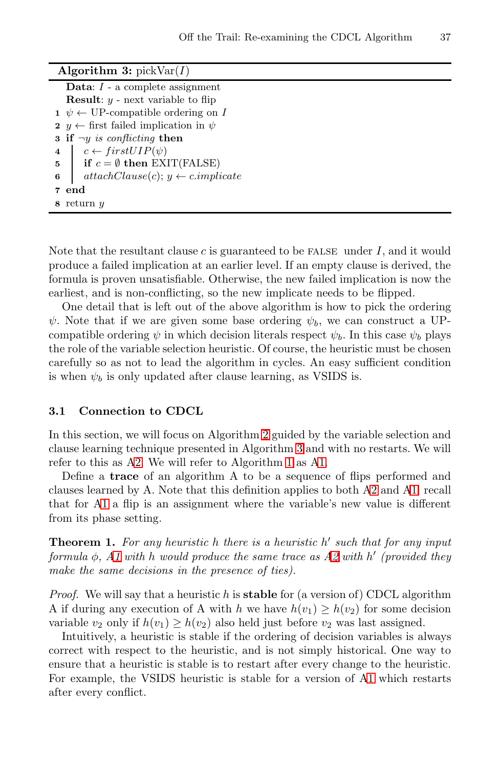<span id="page-7-0"></span>

| <b>Algorithm 3:</b> pickVar $(I)$                       |
|---------------------------------------------------------|
| <b>Data:</b> $I$ - a complete assignment                |
| <b>Result:</b> $y$ - next variable to flip              |
| $1 \psi \leftarrow \text{UP-compatible ordering on } I$ |
| 2 $y \leftarrow$ first failed implication in $\psi$     |
| <b>3</b> if $\neg y$ is conflicting then                |
| $c \leftarrow firstUIP(\psi)$<br>$\overline{\bf 4}$     |
| 5   if $c = \emptyset$ then EXIT(FALSE)                 |
| $attachClause(c); y \leftarrow c.implicit$<br>6         |
| 7 end                                                   |
| 8 return $y$                                            |

Note that the resultant clause c is guaranteed to be FALSE under  $I$ , and it would produce a failed implication at an earlier level. If an empty clause is derived, the formula is proven unsatisfiable. Otherwise, the new failed implication is now the earliest, and is non-conflicting, so the new implicate needs to be flipped.

One detail that is left out of the above algorithm is how to pick the ordering  $\psi$ . Note that if we ar[e g](#page-4-1)iven some base ordering  $\psi_b$ , we can construct a UPcompatible ordering  $\psi$  in whi[ch](#page-7-0) decision literals respect  $\psi_b$ . In this case  $\psi_b$  plays the role of the variable selec[tio](#page-2-0)n he[ur](#page-2-0)istic. Of course, the heuristic must be chosen carefully so as not to lead the algorithm in cycles. An easy sufficient condition is when  $\psi_b$  is only updated after clause lear[nin](#page-4-1)g, as [VS](#page-2-0)IDS is.

### **3.1 Connection to CDCL**

In this section, we will focus on Algorithm 2 guided by the variable selection and clause learning technique presented i[n A](#page-4-1)lgorithm 3 and with no restarts. We will refer to this as A2. We will refer to Algorithm 1 as A1.

Define a **trace** of an algorithm A to be a sequence of flips performed and clauses learned by A. Note that this definition applies to both A2 and A1: recall that for A1 a flip is an assignment where the variable's new value is different from its phase setting.

**Theorem 1.** For any heuristic h there is a heuristic h' such that for any input *formula*  $\phi$ , A1 with *h would produce the same trace as A2 with h'* (*provided they make the same decisions in the presence of [tie](#page-2-0)s).*

*Proof.* We will say that a heuristic h is **stable** for (a version of) CDCL algorithm A if during any execution of A with h we have  $h(v_1) \geq h(v_2)$  for some decision variable  $v_2$  only if  $h(v_1) \geq h(v_2)$  also held just before  $v_2$  was last assigned.

Intuitively, a heuristic is stable if the ordering of decision variables is always correct with respect to the heuristic, and is not simply historical. One way to ensure that a heuristic is stable is to restart after every change to the heuristic. For example, the VSIDS heuristic is stable for a version of A1 which restarts after every conflict.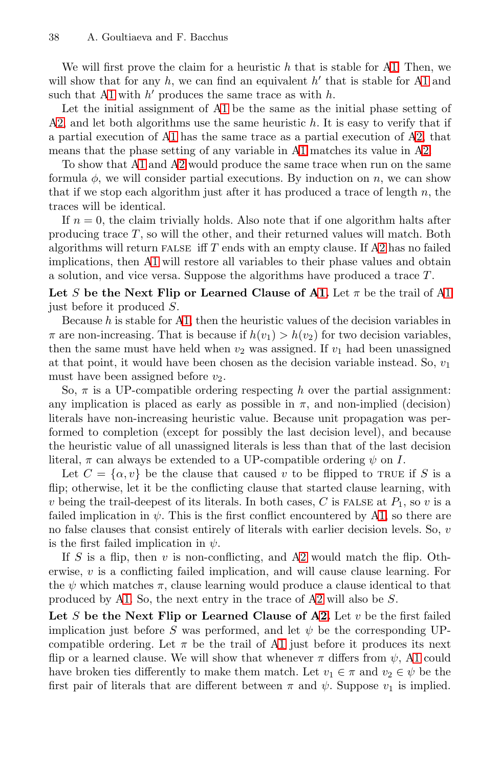#### 38 A. Goultiaeva and F. Ba[cc](#page-2-0)hus

We [wi](#page-4-1)ll first prove the claim for a heuristic  $h$  that is stable for A1. Then, we will show that for any  $h$ , we can find an equivalent  $h'$  that is stable for A1 and such that A1 with  $h'$  produces the same trace as with  $h$ .

Let the initial assignment of A1 be the same as the initial phase setting of A2, and let both algorithms use the same heuristic  $h$ . It is easy to verify that if a partial execution of A1 has the same trace [as](#page-4-1) a partial execution of A2, that [me](#page-2-0)ans that the phase setting of any variable in A1 matches its value in A2.

To show that A1 and A2 would produce the same trace when run on the same formula  $\phi$ , we will consider partial executions. By induction on n, we can show [t](#page-2-0)h[a](#page-2-0)t if we stop each algorithm just after it has produced a [tra](#page-2-0)ce of length  $n$ , the traces will be identical.

If  $n = 0$  $n = 0$  $n = 0$ , the claim trivially holds. Also note that if one algorithm halts after producing trace  $T$ , so will the other, and their returned values will match. Both algorithms will return FALSE iff  $T$  ends with an empty clause. If A2 has no failed implications, then A1 will restore all variables to their phase values and obtain a solution, and vice versa. Suppose the algorithms have produced a trace  $T$ .

Let S be the Next Flip or Learned Clause of A1. Let  $\pi$  be the trail of A1 just before it produced S.

Because  $h$  is stable for A1, then the heuristic values of the decision variables in  $\pi$  are non-increasing. That is because if  $h(v_1) > h(v_2)$  for two decision variables, then the same must have held when  $v_2$  was assigned. If  $v_1$  had been unassigned at that point, it would have been chosen as the decision variable instead. So,  $v_1$ must have been assigned before  $v_2$ .

So,  $\pi$  is a UP-compatible ordering respecting h over the partial assignment: any implication is placed as early as possible [in](#page-2-0)  $\pi$ , and non-implied (decision) literals have non-increasing heuristic value. Because unit propagation was performed to completion (except for possibly the last decision level), and because the heuristic value of all unass[ig](#page-4-1)ned literals is less than that of the last decision literal,  $\pi$  can always be extended to a UP-compatible ordering  $\psi$  on I.

Let  $C = \{\alpha, v\}$  be the clause that caused v to be flipped to TRUE if S is a flip; otherwise, let it be the confli[ct](#page-4-1)ing clause that started clause learning, with v being the trail-deepest of its lite[ral](#page-4-1)s. In both cases, C is FALSE at  $P_1$ , so v is a failed implication in  $\psi$ . This is the first conflict encountered by A1, so there are no false clauses that consist entirely of literals with earlier decision levels. So,  $v$ is the first failed implicati[on](#page-2-0) in  $\psi$ .

If S is a flip, then  $v$  is non-conflicting, and A2 [wou](#page-2-0)ld match the flip. Otherwise, v is a conflicting failed implication, and will cause clause learning. For the  $\psi$  which matches  $\pi$ , clause learning would produce a clause identical to that produced by A1. So, the next entry in the trace of A2 will also be S.

**Let** S **be the Next Flip or Learned Clause of A2.** Let v be the first failed implication just before S was performed, and let  $\psi$  be the corresponding UPcompatible ordering. Let  $\pi$  be the trail of A1 just before it produces its next flip or a learned clause. We will show that whenever  $\pi$  differs from  $\psi$ , A1 could have broken ties differently to make them match. Let  $v_1 \in \pi$  and  $v_2 \in \psi$  be the first pair of literals that are different between  $\pi$  and  $\psi$ . Suppose  $v_1$  is implied.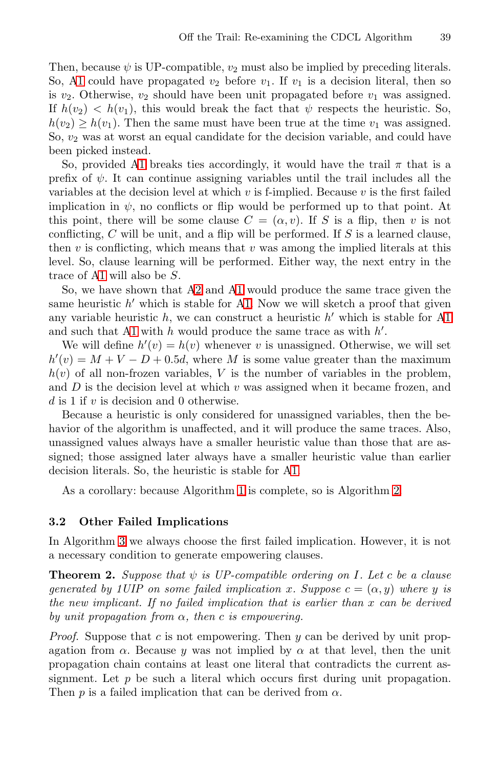[T](#page-2-0)hen, because  $\psi$  is UP-compatible,  $v_2$  must also be implied by preceding literals. So, A1 could have propagated  $v_2$  before  $v_1$ . If  $v_1$  is a decision literal, then so is  $v_2$ . Otherwise,  $v_2$  should have been unit propagated before  $v_1$  was assigned. If  $h(v_2) < h(v_1)$ , this would break the fact that  $\psi$  respects the heuristic. So,  $h(v_2) \geq h(v_1)$ . Then the same must have been true at the time  $v_1$  was assigned. So,  $v_2$  was at worst an equal candidate for the decision variable, and could have been picked instead.

So, provided A1 breaks ties accordingly, it would have the trail  $\pi$  that is a prefix of  $\psi$ . It ca[n](#page-2-0) continue assigning variables until the trail includes all the variables at the dec[isi](#page-2-0)on level at which  $v$  is f-implied. Because  $v$  is the first failed implication in  $\psi$ , no conflicts or flip would be performed [up](#page-2-0) to that point. At this point, there will be some clause  $C = (\alpha, v)$ . If S is a flip, then v is not conflicting,  $C$  will be unit, and a flip will be performed. If  $S$  is a learned clause, then v is conflicting, which means that v was among the implied literals at this level. So, clause learning will be performed. Either way, the next entry in the trace of A1 will also be S.

So, we have shown that A2 and A1 would produce the same trace given the same heuristic  $h'$  which is stable for A1. Now we will sketch a proof that given any variable heuristic h, we can construct a heuristic h' which is stable for A1 and such that A1 with  $h$  would produce the same trace as with  $h'$ .

We will define  $h'(v) = h(v)$  whenever v is unassigned. Otherwise, we will set  $h'(v) = M + V - D + 0.5d$ , [wh](#page-2-0)ere M is some value greater than the maximum  $h(v)$  of all non-frozen variables, V is the number of variables in the problem, and  $D$  is the decis[io](#page-2-0)n level at which  $v$  was assig[ned](#page-4-1) when it became frozen, and  $d$  is 1 if  $v$  is decision and 0 otherwise.

Because a heuristic is only considered for unassigned variables, then the behavior of the algorithm is unaffected, and it will produce the same traces. Also, unassigned values always have a smaller heuristic value than those that are assigned; those assigned later always have a smaller heuristic value than earlier decision literals. So, the heuristic is stable for A1.

As a corollary: because Algorithm 1 is complete, so is Algorithm 2.

### **3.2 Other Failed Implications**

In Algorithm 3 we always choose the first failed implication. However, it is not a necessary condition to generate empowering clauses.

**Theorem 2.** *Suppose that* ψ *is UP-compatible ordering on* I*. Let* c *be a clause generated by 1UIP on some failed implication* x. Suppose  $c = (\alpha, y)$  where y is *the new implicant. If no failed implication that is earlier than* x *can be derived by unit propagation from* α*, then* c *is empowering.*

*Proof.* Suppose that c is not empowering. Then  $y$  can be derived by unit propagation from  $\alpha$ . Because y was not implied by  $\alpha$  at that level, then the unit propagation chain contains at least one literal that contradicts the current assignment. Let  $p$  be such a literal which occurs first during unit propagation. Then p is a failed implication that can be derived from  $\alpha$ .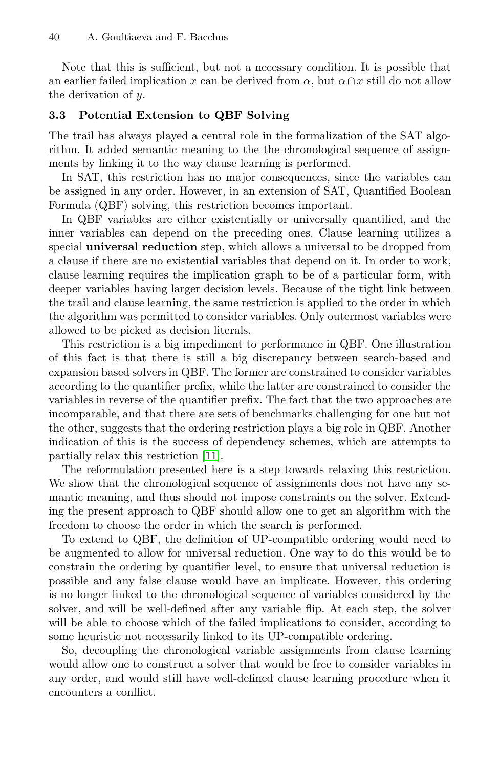#### 40 A. Goultiaeva and F. Bacchus

Note that this is sufficient, but not a necessary condition. It is possible that an earlier failed implication x can be derived from  $\alpha$ , but  $\alpha \cap x$  still do not allow the derivation of y.

### **3.3 Potential Extension to QBF Solving**

The trail has always played a central role in the formalization of the SAT algorithm. It added semantic meaning to the the chronological sequence of assignments by linking it to the way clause learning is performed.

In SAT, this restriction has no major consequences, since the variables can be assigned in any order. However, in an extension of SAT, Quantified Boolean Formula (QBF) solving, this restriction becomes important.

In QBF variables are either existentially or universally quantified, and the inner variables can depend on the preceding ones. Clause learning utilizes a special **universal reduction** step, which allows a universal to be dropped from a clause if there are no existential variables that depend on it. In order to work, clause learning requires the implication graph to be of a particular form, with deeper variables having larger decision levels. Because of the tight link between the trail and clause learning, the same restriction is applied to the order in which the algorithm was permitted to consider variables. Only outermost variables were allowed to be picked as decision literals.

This rest[rict](#page-13-11)ion is a big impediment to performance in QBF. One illustration of this fact is that there is still a big discrepancy between search-based and expansion based solvers in QBF. The former are constrained to consider variables according to the quantifier prefix, while the latter are constrained to consider the variables in reverse of the quantifier prefix. The fact that the two approaches are incomparable, and that there are sets of benchmarks challenging for one but not the other, suggests that the ordering restriction plays a big role in QBF. Another indication of this is the success of dependency schemes, which are attempts to partially relax this restriction [11].

The reformulation presented here is a step towards relaxing this restriction. We show that the chronological sequence of assignments does not have any semantic meaning, and thus should not impose constraints on the solver. Extending the present approach to QBF should allow one to get an algorithm with the freedom to choose the order in which the search is performed.

To extend to QBF, the definition of UP-compatible ordering would need to be augmented to allow for universal reduction. One way to do this would be to constrain the ordering by quantifier level, to ensure that universal reduction is possible and any false clause would have an implicate. However, this ordering is no longer linked to the chronological sequence of variables considered by the solver, and will be well-defined after any variable flip. At each step, the solver will be able to choose which of the failed implications to consider, according to some heuristic not necessarily linked to its UP-compatible ordering.

So, decoupling the chronological variable assignments from clause learning would allow one to construct a solver that would be free to consider variables in any order, and would still have well-defined clause learning procedure when it encounters a conflict.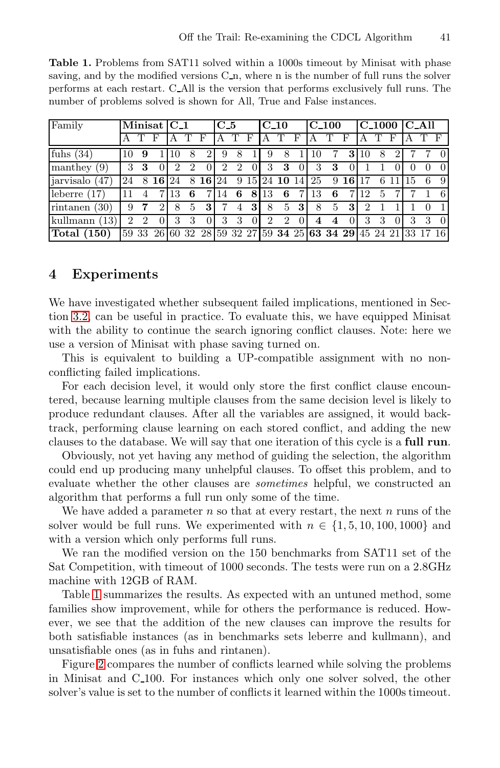<span id="page-11-0"></span>**Table 1.** Problems from SAT11 solved within a 1000s timeout by Minisat with phase saving, and by the modified versions  $C_n$ , where n is the number of full runs the solver performs at each restart. C All is the version that performs exclusively full runs. The number of problems solved is shown for All, True and False instances.

| Family                     | Minisat C <sub>1</sub> |   |         |    |   |                | $C_5$ |   |          | $C_1$         |                |                  | $C_1$ 100        |   |                                                          | $C_1000$ $C_A11$ |   |   |          |                |                  |
|----------------------------|------------------------|---|---------|----|---|----------------|-------|---|----------|---------------|----------------|------------------|------------------|---|----------------------------------------------------------|------------------|---|---|----------|----------------|------------------|
|                            |                        |   | F       |    |   |                |       |   |          |               | T              | F                |                  |   | F                                                        |                  |   | F |          |                | F                |
| fuhs $(34)$                | 10                     | 9 |         | 10 | 8 | 2 <sub>1</sub> | 9     | 8 |          | 9             | 8              |                  | 10               |   | 3                                                        | 10               | 8 |   |          | $\overline{7}$ | $\Omega$         |
| manthey<br>(9)             | 3                      | 3 |         | 2  | 2 | $\Omega$       | 2     | 2 | $\Omega$ | 3             | 3              | $\left( \right)$ | 3                | 3 |                                                          |                  |   |   | $^{(1)}$ |                | $\left( \right)$ |
| jarvisalo<br>(47)          | 24                     |   | 8 16 24 |    |   | 8 16           | 24    |   |          |               | 9 15 24 10 14  |                  | 25               | 9 | 16                                                       |                  |   |   | 15       |                | -91              |
| leberre                    | 11                     | 4 |         | 13 | 6 | 7 <sub>1</sub> | 14    | 6 | 8        | 13            | 6              | 7                | 13               | 6 | ⇁                                                        | 12               | 5 |   |          |                | 6                |
| rintanen<br>$^{\prime}30)$ | 9                      | 7 |         | 8  | 5 | 3              |       | 4 | 3        | 8             | 5              | 3 <sup>1</sup>   | 8                | 5 | 3                                                        | 2                |   |   |          |                |                  |
| kullmann<br>(13)           | 2                      | 2 |         | 3  | 3 | $\Omega$       | 3     | 3 | 0        | $\mathcal{D}$ | $\overline{2}$ | 0                | $\boldsymbol{4}$ | 4 | $\Omega$                                                 | 3                | 3 |   | 3        | 3              | $\Omega$         |
| <b>Total</b> (150)         | 59 33                  |   |         |    |   |                |       |   |          |               |                |                  |                  |   | 26 60 32 28 59 32 27 59 34 25 63 34 29 45 24 21 33 17 16 |                  |   |   |          |                |                  |

### **4 Experiments**

We have investigated whether subsequent failed implications, mentioned in Section 3.2, can be useful in practice. To evaluate this, we have equipped Minisat with the ability to continue the search ignoring conflict clauses. Note: here we use a version of Minisat with phase saving turned on.

This is equivalent to building a UP-compatible assignment with no nonconflicting failed implications.

For each decision level, it would only store the first conflict clause encountered, because learning multiple clauses from the same decision level is likely to produce redundant clauses. After all the variables are assigned, it would backtrack, performing clause learning on each stored conflict, and adding the new clauses to the database. We will say that one iteration of this cycle is a **full run**.

Obviously, not yet having any method of guiding the selection, the algorithm could end up producing many unhelpful clauses. To offset this problem, and to evaluate whether the other clauses are *sometimes* helpful, we constructed an algorithm that performs a full run only some of the time.

We have added a parameter  $n$  so that at every restart, the next  $n$  runs of the solver would be full runs. We experimented with  $n \in \{1, 5, 10, 100, 1000\}$  and with a version which only performs full runs.

We ran the modified version on the 150 benchmarks from SAT11 set of the Sat Competition, with timeout of 1000 seconds. The tests were run on a 2.8GHz machine with 12GB of RAM.

Table 1 summarizes the results. As expected with an untuned method, some families show improvement, while for others the performance is reduced. However, we see that the addition of the new clauses can improve the results for both satisfiable instances (as in benchmarks sets leberre and kullmann), and unsatisfiable ones (as in fuhs and rintanen).

Figure 2 compares the number of conflicts learned while solving the problems in Minisat and C 100. For instances which only one solver solved, the other solver's value is set to the number of conflicts it learned within the 1000s timeout.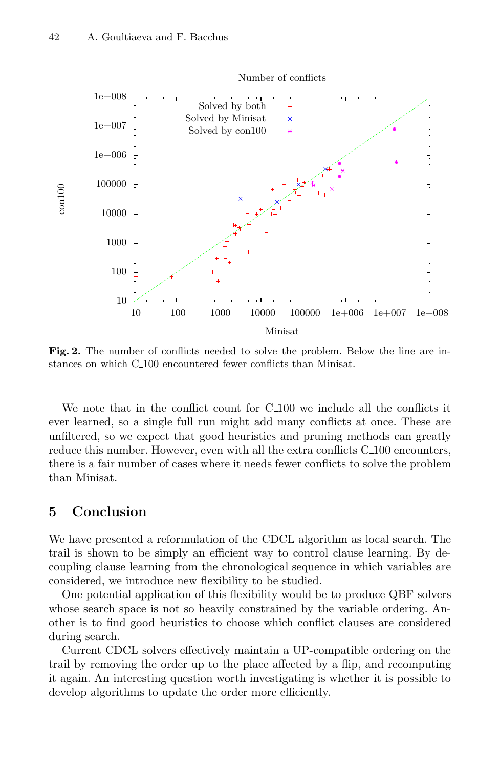

Number of conflicts

**Fig. 2.** The number of conflicts needed to solve the problem. Below the line are instances on which C 100 encountered fewer conflicts than Minisat.

We note that in the conflict count for C<sub>100</sub> we include all the conflicts it ever learned, so a single full run might add many conflicts at once. These are unfiltered, so we expect that good heuristics and pruning methods can greatly reduce this number. However, even with all the extra conflicts C 100 encounters, there is a fair number of cases where it needs fewer conflicts to solve the problem than Minisat.

# **5 Conclusion**

We have presented a reformulation of the CDCL algorithm as local search. The trail is shown to be simply an efficient way to control clause learning. By decoupling clause learning from the chronological sequence in which variables are considered, we introduce new flexibility to be studied.

One potential application of this flexibility would be to produce QBF solvers whose search space is not so heavily constrained by the variable ordering. Another is to find good heuristics to choose which conflict clauses are considered during search.

Current CDCL solvers effectively maintain a UP-compatible ordering on the trail by removing the order up to the place affected by a flip, and recomputing it again. An interesting question worth investigating is whether it is possible to develop algorithms to update the order more efficiently.